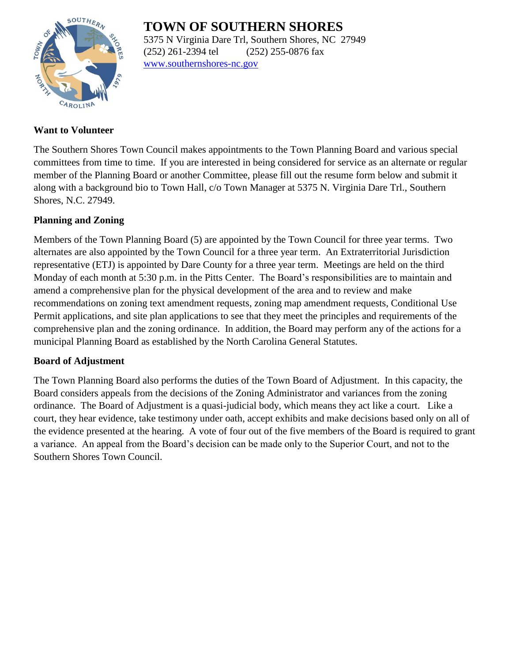# **TOWN OF SOUTHERN SHORES**



5375 N Virginia Dare Trl, Southern Shores, NC 27949 (252) 261-2394 tel (252) 255-0876 fax [www.southernshores-nc.gov](http://www.southernshores-nc.gov/)

#### **Want to Volunteer**

The Southern Shores Town Council makes appointments to the Town Planning Board and various special committees from time to time. If you are interested in being considered for service as an alternate or regular member of the Planning Board or another Committee, please fill out the resume form below and submit it along with a background bio to Town Hall, c/o Town Manager at 5375 N. Virginia Dare Trl., Southern Shores, N.C. 27949.

## **Planning and Zoning**

Members of the Town Planning Board (5) are appointed by the Town Council for three year terms. Two alternates are also appointed by the Town Council for a three year term. An Extraterritorial Jurisdiction representative (ETJ) is appointed by Dare County for a three year term. Meetings are held on the third Monday of each month at 5:30 p.m. in the Pitts Center. The Board's responsibilities are to maintain and amend a comprehensive plan for the physical development of the area and to review and make recommendations on zoning text amendment requests, zoning map amendment requests, Conditional Use Permit applications, and site plan applications to see that they meet the principles and requirements of the comprehensive plan and the zoning ordinance. In addition, the Board may perform any of the actions for a municipal Planning Board as established by the North Carolina General Statutes.

## **Board of Adjustment**

The Town Planning Board also performs the duties of the Town Board of Adjustment. In this capacity, the Board considers appeals from the decisions of the Zoning Administrator and variances from the zoning ordinance. The Board of Adjustment is a quasi-judicial body, which means they act like a court. Like a court, they hear evidence, take testimony under oath, accept exhibits and make decisions based only on all of the evidence presented at the hearing. A vote of four out of the five members of the Board is required to grant a variance. An appeal from the Board's decision can be made only to the Superior Court, and not to the Southern Shores Town Council.